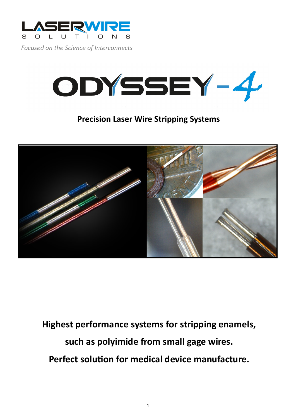

*Focused on the Science of Interconnects*



# **Precision Laser Wire Stripping Systems**



**Highest performance systems for stripping enamels, such as polyimide from small gage wires. Perfect solution for medical device manufacture.**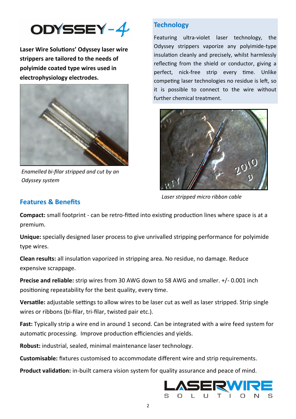

**Laser Wire Solutions' Odyssey laser wire strippers are tailored to the needs of polyimide coated type wires used in electrophysiology electrodes.** 



*Enamelled bi-filar stripped and cut by an Odyssey system*

#### **Technology**

Featuring ultra-violet laser technology, the Odyssey strippers vaporize any polyimide-type insulation cleanly and precisely, whilst harmlessly reflecting from the shield or conductor, giving a perfect, nick-free strip every time. Unlike competing laser technologies no residue is left, so it is possible to connect to the wire without further chemical treatment.



*Laser stripped micro ribbon cable*

#### **Features & Benefits**

**Compact:** small footprint - can be retro-fitted into existing production lines where space is at a premium.

**Unique:** specially designed laser process to give unrivalled stripping performance for polyimide type wires.

**Clean results:** all insulation vaporized in stripping area. No residue, no damage. Reduce expensive scrappage.

**Precise and reliable:** strip wires from 30 AWG down to 58 AWG and smaller. +/- 0.001 inch positioning repeatability for the best quality, every time.

**Versatile:** adjustable settings to allow wires to be laser cut as well as laser stripped. Strip single wires or ribbons (bi-filar, tri-filar, twisted pair etc.).

Fast: Typically strip a wire end in around 1 second. Can be integrated with a wire feed system for automatic processing. Improve production efficiencies and yields.

**Robust:** industrial, sealed, minimal maintenance laser technology.

**Customisable:** fixtures customised to accommodate different wire and strip requirements.

**Product validation:** in-built camera vision system for quality assurance and peace of mind.

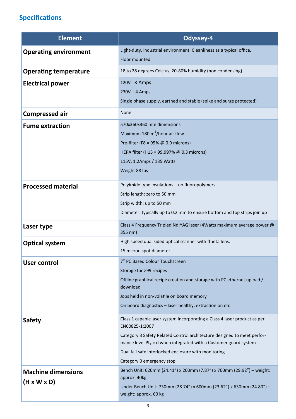## **Specifications**

| <b>Element</b>               | Odyssey-4                                                                                                     |
|------------------------------|---------------------------------------------------------------------------------------------------------------|
| <b>Operating environment</b> | Light-duty, industrial environment. Cleanliness as a typical office.                                          |
|                              | Floor mounted.                                                                                                |
| <b>Operating temperature</b> | 18 to 28 degrees Celcius, 20-80% humidity (non condensing).                                                   |
| <b>Electrical power</b>      | 120V - 8 Amps                                                                                                 |
|                              | $230V - 4$ Amps                                                                                               |
|                              | Single phase supply, earthed and stable (spike and surge protected)                                           |
| <b>Compressed air</b>        | None                                                                                                          |
| <b>Fume extraction</b>       | 570x360x360 mm dimensions                                                                                     |
|                              | Maximum 180 $m^3$ /hour air flow                                                                              |
|                              | Pre-filter (F8 = 95% @ 0.9 microns)                                                                           |
|                              | HEPA filter (H13 = 99.997% @ 0.3 microns)                                                                     |
|                              | 115V, 1.2Amps / 135 Watts                                                                                     |
|                              | Weight 88 lbs                                                                                                 |
| <b>Processed material</b>    | Polyimide type insulations - no fluoropolymers                                                                |
|                              | Strip length: zero to 50 mm                                                                                   |
|                              | Strip width: up to 50 mm                                                                                      |
|                              | Diameter: typically up to 0.2 mm to ensure bottom and top strips join up                                      |
| Laser type                   | Class 4 Frequency Tripled Nd: YAG laser (4 Watts maximum average power @<br>355 nm)                           |
| <b>Optical system</b>        | High speed dual sided optical scanner with ftheta lens.                                                       |
|                              | 15 micron spot diameter                                                                                       |
| <b>User control</b>          | 7" PC Based Colour Touchscreen                                                                                |
|                              | Storage for >99 recipes                                                                                       |
|                              | Offline graphical recipe creation and storage with PC ethernet upload /<br>download                           |
|                              | Jobs held in non-volatile on board memory                                                                     |
|                              | On board diagnostics - laser healthy, extraction on etc                                                       |
| <b>Safety</b>                | Class 1 capable laser system incorporating a Class 4 laser product as per<br>EN60825-1:2007                   |
|                              | Category 3 Safety Related Control architecture designed to meet perfor-                                       |
|                              | mance level $PL_r = d$ when integrated with a Customer guard system                                           |
|                              | Dual fail safe interlocked enclosure with monitoring                                                          |
|                              | Category 0 emergency stop                                                                                     |
| <b>Machine dimensions</b>    | Bench Unit: 620mm (24.41") x 200mm (7.87") x 760mm (29.92") - weight:                                         |
| $(H \times W \times D)$      | approx. 40kg<br>Under Bench Unit: 730mm (28.74") x 600mm (23.62") x 630mm (24.80") -<br>weight: approx. 60 kg |
|                              |                                                                                                               |